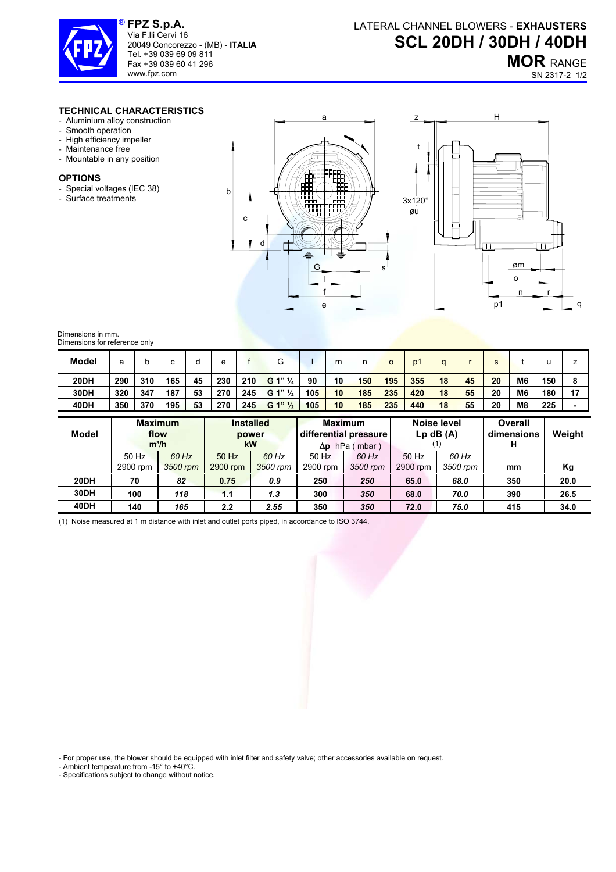

**FPZ S.p.A.**  Via F.lli Cervi 16 20049 Concorezzo - (MB) - **ITALIA** Tel. +39 039 69 09 811 Fax +39 039 60 41 296 www.fpz.com

**MOR** RANGE

SN 2317-2 1/2

## **TECHNICAL CHARACTERISTICS**

- Aluminium alloy construction
- Smooth operation
- High efficiency impeller
- Maintenance free
- Mountable in any position

## **OPTIONS**

- Special voltages (IEC 38)
- Surface treatments





## Dimensions in mm. Dimensions for reference only

| <b>Model</b> |     | N   |     |    | е   |     | G                  |     | m  |     |     | D.  |    |    |    |                |     |    |
|--------------|-----|-----|-----|----|-----|-----|--------------------|-----|----|-----|-----|-----|----|----|----|----------------|-----|----|
| 20DH         | 290 | 310 | 165 | 45 | 230 | 210 | G 1" 1/4           | 90  | 10 | 150 | 195 | 355 | 18 | 45 | 20 | M <sub>6</sub> | 150 |    |
| 30DH         | 320 | 347 | 187 | 53 | 270 | 245 | G 1" $\frac{1}{2}$ | 105 | 10 | 185 | 235 | 420 | 18 | 55 | 20 | M <sub>6</sub> | 180 | 17 |
| 40DH         | 350 | 370 | 195 | 53 | 270 | 245 | G 1" $\frac{1}{2}$ | 105 | 10 | 185 | 235 | 440 | 18 | 55 | 20 | M <sub>8</sub> | 225 |    |

| Model | <b>Maximum</b><br>flow<br>$m^3/h$ |          | <b>Installed</b><br>power<br><b>kW</b> |          | <b>Maximum</b> | differential pressure<br>$\Delta p$ hPa (mbar) | Noise level<br>$Lp$ dB $(A)$ |          | <b>Overall</b><br>dimensions<br>н | Weight |
|-------|-----------------------------------|----------|----------------------------------------|----------|----------------|------------------------------------------------|------------------------------|----------|-----------------------------------|--------|
|       | 50 Hz                             | 60 Hz    | 50 Hz                                  | 60 Hz    | 50 Hz          | 60 Hz                                          | 50 Hz                        | 60 Hz    |                                   |        |
|       | 2900 rpm                          | 3500 rpm | 2900 rpm                               | 3500 rpm | 2900 rpm       | 3500 rpm                                       | 2900 rpm                     | 3500 rpm | mm                                | Κg     |
| 20DH  | 70                                | 82       | 0.75                                   | 0.9      | 250            | 250                                            | 65.0                         | 68.0     | 350                               | 20.0   |
| 30DH  | 100                               | 118      | 1.1                                    | 1.3      | 300            | 350                                            | 68.0                         | 70.0     | 390                               | 26.5   |
| 40DH  | 140                               | 165      | 2.2                                    | 2.55     | 350            | 350                                            | 72.0                         | 75.0     | 415                               | 34.0   |

(1) Noise measured at 1 m distance with inlet and outlet ports piped, in accordance to ISO 3744.

- For proper use, the blower should be equipped with inlet filter and safety valve; other accessories available on request.

- Ambient temperature from -15° to +40°C.

- Specifications subject to change without notice.